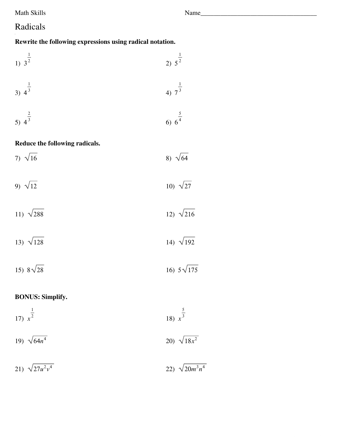Math Skills

## Radicals

## Rewrite the following expressions using radical notation.

| 1) $3^{\frac{1}{2}}$           | 2) $5^{\frac{1}{2}}$ |
|--------------------------------|----------------------|
| 3) $4^{\frac{1}{3}}$           | 4) $7^{\frac{1}{3}}$ |
| 5) $4^{\frac{2}{3}}$           | 6) $6^{\frac{5}{4}}$ |
| Reduce the following radicals. |                      |
| 7) $\sqrt{16}$                 | 8) $\sqrt{64}$       |
| 9) $\sqrt{12}$                 | 10) $\sqrt{27}$      |
| 11) $\sqrt{288}$               | 12) $\sqrt{216}$     |
| 13) $\sqrt{128}$               | 14) $\sqrt{192}$     |
| 15) $8\sqrt{28}$               | 16) $5\sqrt{175}$    |

## **BONUS: Simplify.**

| 17) $x^{\frac{1}{2}}$ | 18) $x^{\frac{5}{3}}$ |
|-----------------------|-----------------------|
| 19) $\sqrt{64n^4}$    | 20) $\sqrt{18x^2}$    |
| 21) $\sqrt{27u^2v^4}$ | 22) $\sqrt{20m^3n^4}$ |